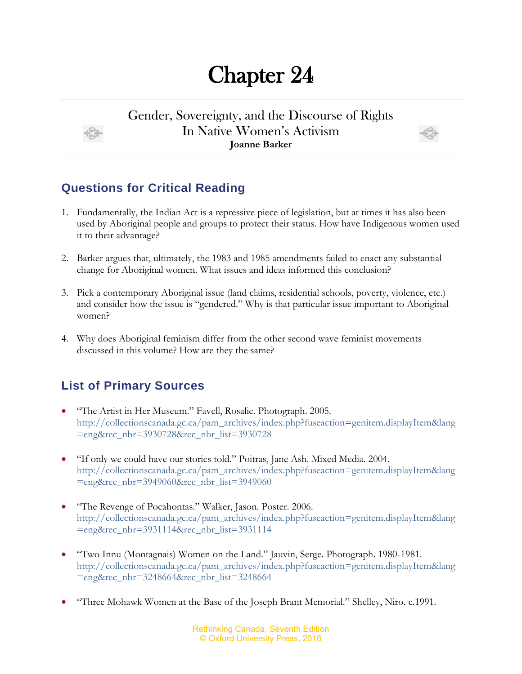# Chapter 24

#### Gender, Sovereignty, and the Discourse of Rights In Native Women's Activism **Joanne Barker**



## **Questions for Critical Reading**

- 1. Fundamentally, the Indian Act is a repressive piece of legislation, but at times it has also been used by Aboriginal people and groups to protect their status. How have Indigenous women used it to their advantage?
- 2. Barker argues that, ultimately, the 1983 and 1985 amendments failed to enact any substantial change for Aboriginal women. What issues and ideas informed this conclusion?
- 3. Pick a contemporary Aboriginal issue (land claims, residential schools, poverty, violence, etc.) and consider how the issue is "gendered." Why is that particular issue important to Aboriginal women?
- 4. Why does Aboriginal feminism differ from the other second wave feminist movements discussed in this volume? How are they the same?

## **List of Primary Sources**

- "The Artist in Her Museum." Favell, Rosalie. Photograph. 2005. [http://collectionscanada.gc.ca/pam\\_archives/index.php?fuseaction=genitem.displayItem&lang](http://collectionscanada.gc.ca/pam_archives/index.php?fuseaction=genitem.displayItem&lang=eng&rec_nbr=3930728&rec_nbr_list=3930728) [=eng&rec\\_nbr=3930728&rec\\_nbr\\_list=3930728](http://collectionscanada.gc.ca/pam_archives/index.php?fuseaction=genitem.displayItem&lang=eng&rec_nbr=3930728&rec_nbr_list=3930728)
- "If only we could have our stories told." Poitras, Jane Ash. Mixed Media. 2004. [http://collectionscanada.gc.ca/pam\\_archives/index.php?fuseaction=genitem.displayItem&lang](http://collectionscanada.gc.ca/pam_archives/index.php?fuseaction=genitem.displayItem&lang=eng&rec_nbr=3949060&rec_nbr_list=3949060) [=eng&rec\\_nbr=3949060&rec\\_nbr\\_list=3949060](http://collectionscanada.gc.ca/pam_archives/index.php?fuseaction=genitem.displayItem&lang=eng&rec_nbr=3949060&rec_nbr_list=3949060)
- "The Revenge of Pocahontas." Walker, Jason. Poster. 2006. [http://collectionscanada.gc.ca/pam\\_archives/index.php?fuseaction=genitem.displayItem&lang](http://collectionscanada.gc.ca/pam_archives/index.php?fuseaction=genitem.displayItem&lang=eng&rec_nbr=3931114&rec_nbr_list=3931114) [=eng&rec\\_nbr=3931114&rec\\_nbr\\_list=3931114](http://collectionscanada.gc.ca/pam_archives/index.php?fuseaction=genitem.displayItem&lang=eng&rec_nbr=3931114&rec_nbr_list=3931114)
- "Two Innu (Montagnais) Women on the Land." Jauvin, Serge. Photograph. 1980-1981. [http://collectionscanada.gc.ca/pam\\_archives/index.php?fuseaction=genitem.displayItem&lang](http://collectionscanada.gc.ca/pam_archives/index.php?fuseaction=genitem.displayItem&lang=eng&rec_nbr=3248664&rec_nbr_list=3248664) [=eng&rec\\_nbr=3248664&rec\\_nbr\\_list=3248664](http://collectionscanada.gc.ca/pam_archives/index.php?fuseaction=genitem.displayItem&lang=eng&rec_nbr=3248664&rec_nbr_list=3248664)
- "Three Mohawk Women at the Base of the Joseph Brant Memorial." Shelley, Niro. c.1991.